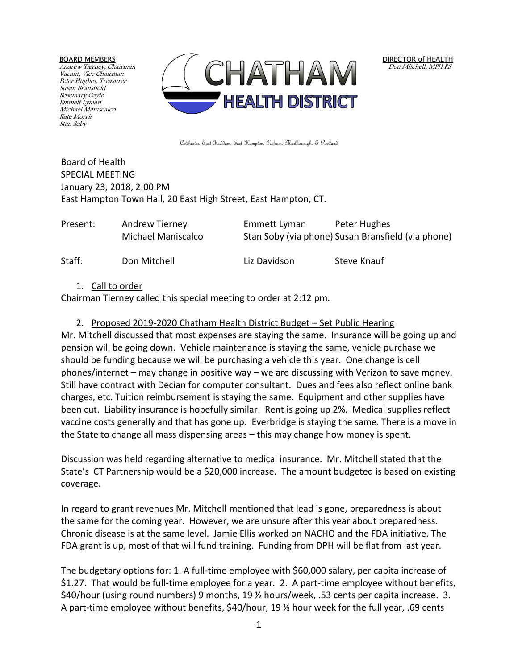BOARD MEMBERS

Andrew Tierney, Chairman Vacant, Vice Chairman Peter Hughes, Treasurer Susan Bransfield Rosemary Coyle Emmett Lyman Michael Maniscalco Kate Morris Stan Soby



DIRECTOR of HEALTH Don Mitchell, MPH RS

Colchester, East Haddam, East Hampton, Hebron, Marlborough, & Portland

Board of Health SPECIAL MEETING January 23, 2018, 2:00 PM East Hampton Town Hall, 20 East High Street, East Hampton, CT.

| Present: | Andrew Tierney     | Emmett Lyman | Peter Hughes                                       |
|----------|--------------------|--------------|----------------------------------------------------|
|          | Michael Maniscalco |              | Stan Soby (via phone) Susan Bransfield (via phone) |
| Staff:   | Don Mitchell       | Liz Davidson | Steve Knauf                                        |

## 1. Call to order

Chairman Tierney called this special meeting to order at 2:12 pm.

## 2. Proposed 2019-2020 Chatham Health District Budget – Set Public Hearing

Mr. Mitchell discussed that most expenses are staying the same. Insurance will be going up and pension will be going down. Vehicle maintenance is staying the same, vehicle purchase we should be funding because we will be purchasing a vehicle this year. One change is cell phones/internet – may change in positive way – we are discussing with Verizon to save money. Still have contract with Decian for computer consultant. Dues and fees also reflect online bank charges, etc. Tuition reimbursement is staying the same. Equipment and other supplies have been cut. Liability insurance is hopefully similar. Rent is going up 2%. Medical supplies reflect vaccine costs generally and that has gone up. Everbridge is staying the same. There is a move in the State to change all mass dispensing areas – this may change how money is spent.

Discussion was held regarding alternative to medical insurance. Mr. Mitchell stated that the State's CT Partnership would be a \$20,000 increase. The amount budgeted is based on existing coverage.

In regard to grant revenues Mr. Mitchell mentioned that lead is gone, preparedness is about the same for the coming year. However, we are unsure after this year about preparedness. Chronic disease is at the same level. Jamie Ellis worked on NACHO and the FDA initiative. The FDA grant is up, most of that will fund training. Funding from DPH will be flat from last year.

The budgetary options for: 1. A full-time employee with \$60,000 salary, per capita increase of \$1.27. That would be full-time employee for a year. 2. A part-time employee without benefits, \$40/hour (using round numbers) 9 months, 19 ½ hours/week, .53 cents per capita increase. 3. A part-time employee without benefits, \$40/hour, 19 ½ hour week for the full year, .69 cents